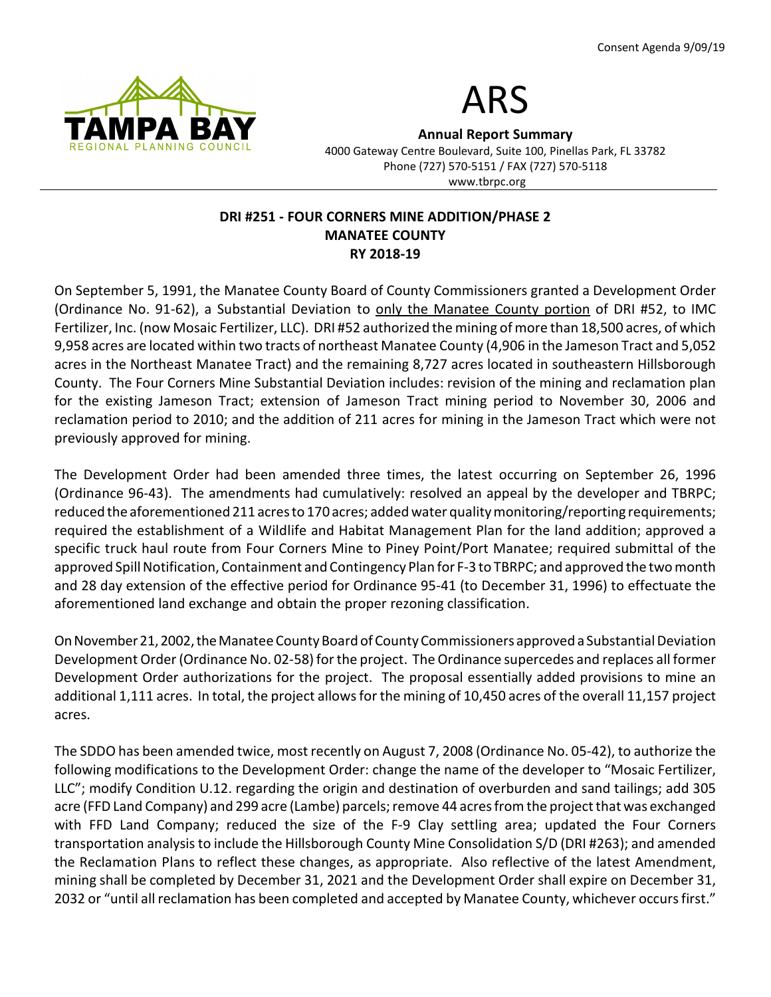



Annual Report Summary

4000 Gateway Centre Boulevard, Suite 100, Pinellas Park, FL 33782 Phone (727) 570-5151 / FAX (727) 570-5118 www.tbrpc.org

### DRI #251 - FOUR CORNERS MINE ADDITION/PHASE 2 MANATEE COUNTY RY 2018-19

On September 5, 1991, the Manatee County Board of County Commissioners granted a Development Order (Ordinance No. 91-62), a Substantial Deviation to only the Manatee County portion of DRI #52, to IMC Fertilizer, Inc. (now Mosaic Fertilizer, LLC). DRI #52 authorized the mining of more than 18,500 acres, of which 9,958 acres are located within two tracts of northeast Manatee County (4,906 in the Jameson Tract and 5,052 acres in the Northeast Manatee Tract) and the remaining 8,727 acres located in southeastern Hillsborough County. The Four Corners Mine Substantial Deviation includes: revision of the mining and reclamation plan for the existing Jameson Tract; extension of Jameson Tract mining period to November 30, 2006 and reclamation period to 2010; and the addition of 211 acres for mining in the Jameson Tract which were not previously approved for mining.

The Development Order had been amended three times, the latest occurring on September 26, 1996 (Ordinance 96-43). The amendments had cumulatively: resolved an appeal by the developer and TBRPC; reduced the aforementioned 211 acres to 170 acres; added water quality monitoring/reporting requirements; required the establishment of a Wildlife and Habitat Management Plan for the land addition; approved a specific truck haul route from Four Corners Mine to Piney Point/Port Manatee; required submittal of the approved Spill Notification, Containment and Contingency Plan for F-3 to TBRPC; and approved the two month and 28 day extension of the effective period for Ordinance 95-41 (to December 31, 1996) to effectuate the aforementioned land exchange and obtain the proper rezoning classification.

On November 21, 2002, the Manatee County Board of County Commissioners approved a Substantial Deviation Development Order (Ordinance No. 02-58) for the project. The Ordinance supercedes and replaces all former Development Order authorizations for the project. The proposal essentially added provisions to mine an additional 1,111 acres. In total, the project allows for the mining of 10,450 acres of the overall 11,157 project acres.

The SDDO has been amended twice, most recently on August 7, 2008 (Ordinance No. 05-42), to authorize the following modifications to the Development Order: change the name of the developer to "Mosaic Fertilizer, LLC"; modify Condition U.12. regarding the origin and destination of overburden and sand tailings; add 305 acre (FFD Land Company) and 299 acre (Lambe) parcels; remove 44 acres from the project that was exchanged with FFD Land Company; reduced the size of the F-9 Clay settling area; updated the Four Corners transportation analysis to include the Hillsborough County Mine Consolidation S/D (DRI #263); and amended the Reclamation Plans to reflect these changes, as appropriate. Also reflective of the latest Amendment, mining shall be completed by December 31, 2021 and the Development Order shall expire on December 31, 2032 or "until all reclamation has been completed and accepted by Manatee County, whichever occurs first."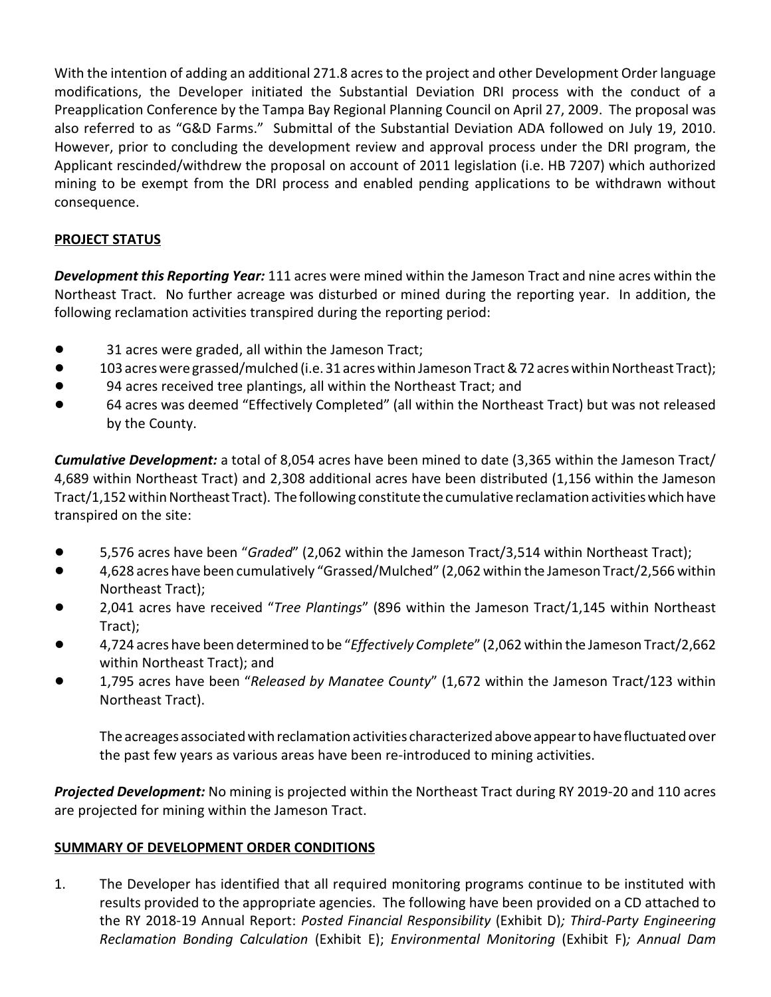With the intention of adding an additional 271.8 acres to the project and other Development Order language modifications, the Developer initiated the Substantial Deviation DRI process with the conduct of a Preapplication Conference by the Tampa Bay Regional Planning Council on April 27, 2009. The proposal was also referred to as "G&D Farms." Submittal of the Substantial Deviation ADA followed on July 19, 2010. However, prior to concluding the development review and approval process under the DRI program, the Applicant rescinded/withdrew the proposal on account of 2011 legislation (i.e. HB 7207) which authorized mining to be exempt from the DRI process and enabled pending applications to be withdrawn without consequence.

# PROJECT STATUS

Development this Reporting Year: 111 acres were mined within the Jameson Tract and nine acres within the Northeast Tract. No further acreage was disturbed or mined during the reporting year. In addition, the following reclamation activities transpired during the reporting period:

- ! 31 acres were graded, all within the Jameson Tract;
- ! 103 acres were grassed/mulched (i.e. 31 acres within Jameson Tract & 72 acres within Northeast Tract);
- ! 94 acres received tree plantings, all within the Northeast Tract; and
- ! 64 acres was deemed "Effectively Completed" (all within the Northeast Tract) but was not released by the County.

**Cumulative Development:** a total of 8,054 acres have been mined to date (3,365 within the Jameson Tract/ 4,689 within Northeast Tract) and 2,308 additional acres have been distributed (1,156 within the Jameson Tract/1,152 within Northeast Tract). The following constitute the cumulative reclamation activities which have transpired on the site:

- 5,576 acres have been "Graded" (2,062 within the Jameson Tract/3,514 within Northeast Tract);
- ! 4,628 acres have been cumulatively "Grassed/Mulched" (2,062 within the Jameson Tract/2,566 within Northeast Tract);
- 2,041 acres have received "Tree Plantings" (896 within the Jameson Tract/1,145 within Northeast Tract);
- 4,724 acres have been determined to be "Effectively Complete" (2,062 within the Jameson Tract/2,662 within Northeast Tract); and
- 1,795 acres have been "Released by Manatee County" (1,672 within the Jameson Tract/123 within Northeast Tract).

The acreages associated with reclamation activities characterized above appear to have fluctuated over the past few years as various areas have been re-introduced to mining activities.

**Projected Development:** No mining is projected within the Northeast Tract during RY 2019-20 and 110 acres are projected for mining within the Jameson Tract.

# SUMMARY OF DEVELOPMENT ORDER CONDITIONS

1. The Developer has identified that all required monitoring programs continue to be instituted with results provided to the appropriate agencies. The following have been provided on a CD attached to the RY 2018-19 Annual Report: Posted Financial Responsibility (Exhibit D); Third-Party Engineering Reclamation Bonding Calculation (Exhibit E); Environmental Monitoring (Exhibit F); Annual Dam